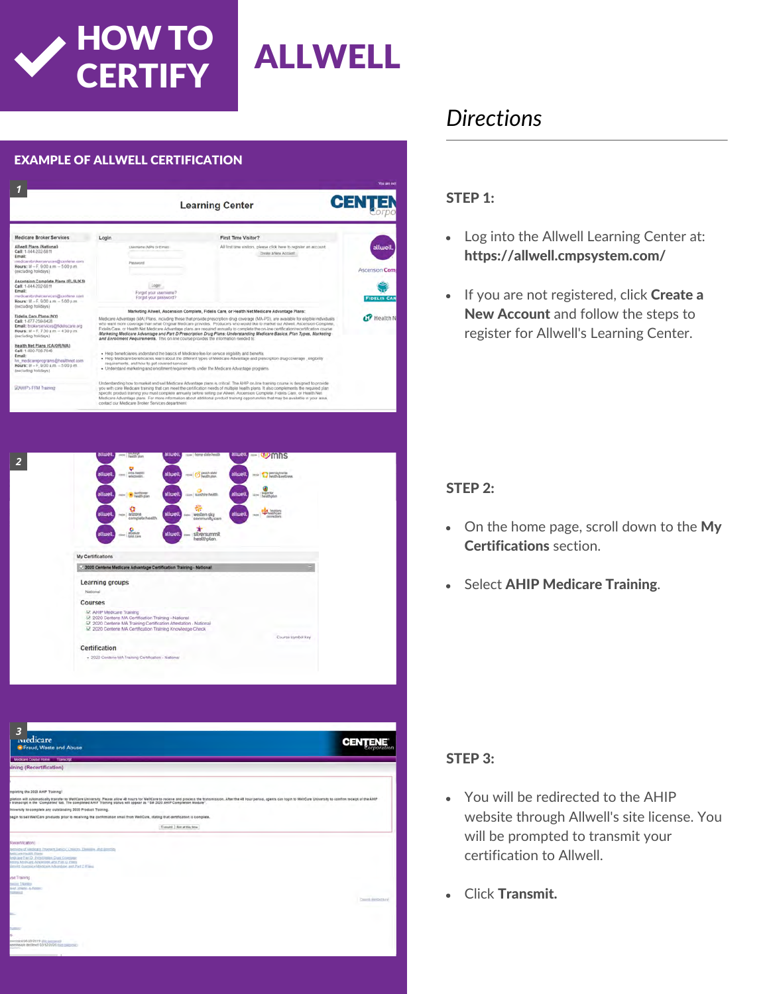

### EXAMPLE OF ALLWELL CERTIFICATION *1* **CENTE Learning Center Icare Broker Services** Login First Time Visitor? Allwell Plans (National)<br>Call: 1-844-202-6811 All first time visitors, please click here to register an account Create a New Account rokerservices@centerie.c<br>+ F, 9:00 a.m. – 5:00 p.m. Complete Plans (FL/IL/KS) okasarvices@centene.c<br>- E 9/09 a.m. - 5/00 c.m. Fidelis Care Plans (NY) CP Health x<br>xxilerservices@fidelscare.org<br>M = F, 7:30 a.m. = 4:30 p.m. Net Plans (CA/OR/WA) eprograms@healthnet.c<br>F, 9:00 a.m. - 5:00 p.m. **IPA FEM Transac** *2* My Certific 2 2020 Centene Medicare Adva Learning groups Courses M<br>2 2020 Centene<br>2 2020 Centene<br>2 2020 Centene Certification + 2020 Cent

| В<br><i>iviedicare</i><br>Fraud, Waste and Abuse                                                                                                                                                                                                                                                                                                           | <b>CENTER</b>          |
|------------------------------------------------------------------------------------------------------------------------------------------------------------------------------------------------------------------------------------------------------------------------------------------------------------------------------------------------------------|------------------------|
| Modicare Course Home Transcript                                                                                                                                                                                                                                                                                                                            |                        |
| sining (Recertification)                                                                                                                                                                                                                                                                                                                                   |                        |
|                                                                                                                                                                                                                                                                                                                                                            |                        |
| mpleting the 2020 AHIP Training!                                                                                                                                                                                                                                                                                                                           |                        |
| gletion will automatically transfer to WelfCare University. Please allow 48 hours for WelfCare to receive and process the transmission. After the 48 hour period, agents can login to WelfCare University to confirm receipt o<br>I transcript in the 'Completed' tab. The completed AHIP Training status will appear as "SM 2020 AHIP Completion Module". |                        |
| Iniversity to complete any outstanding 2020 Product Training.                                                                                                                                                                                                                                                                                              |                        |
| begin to sell WellCare products prior to receiving the confirmation email from WellCare, stating that certification is complete.                                                                                                                                                                                                                           |                        |
| Transmit   Not at this time                                                                                                                                                                                                                                                                                                                                |                        |
| Recentfication<br>hemieve of kliedicare Program Early Chesters, China and Borellin,<br><b>Intigen Palitti Parts</b><br><b>Indicate Fart D. Principles Drag Concorer</b>                                                                                                                                                                                    |                        |
| <b>Selling Madicare Advantage and Part G Pinns</b><br>plewed Coastance Ministers Advantage, and Part D Films                                                                                                                                                                                                                                               |                        |
| ine Training                                                                                                                                                                                                                                                                                                                                               |                        |
| point Tranks<br>aud. (mate 4, Attree)<br><b>TORONTO</b>                                                                                                                                                                                                                                                                                                    |                        |
|                                                                                                                                                                                                                                                                                                                                                            | Creatile Annibol April |
|                                                                                                                                                                                                                                                                                                                                                            |                        |
| ter.                                                                                                                                                                                                                                                                                                                                                       |                        |
| <b>Scale</b>                                                                                                                                                                                                                                                                                                                                               |                        |
|                                                                                                                                                                                                                                                                                                                                                            |                        |
| mention 08/28/2019 (Fig. Larrange)<br>Designed for DOD \$14.0 benited rigistrates                                                                                                                                                                                                                                                                          |                        |
|                                                                                                                                                                                                                                                                                                                                                            |                        |

# *Directions*

#### STEP 1:

- Log into the Allwell Learning Center at: https://allwell.cmpsystem.com/
- If you are not registered, click Create a New Account and follow the steps to register for Allwell's Learning Center.

#### STEP 2:

- On the home page, scroll down to the My Certifications section.
- Select AHIP Medicare Training.  $\bullet$

#### STEP 3:

- You will be redirected to the AHIP website through Allwell's site license. You will be prompted to transmit your certification to Allwell.
- Click Transmit.  $\bullet$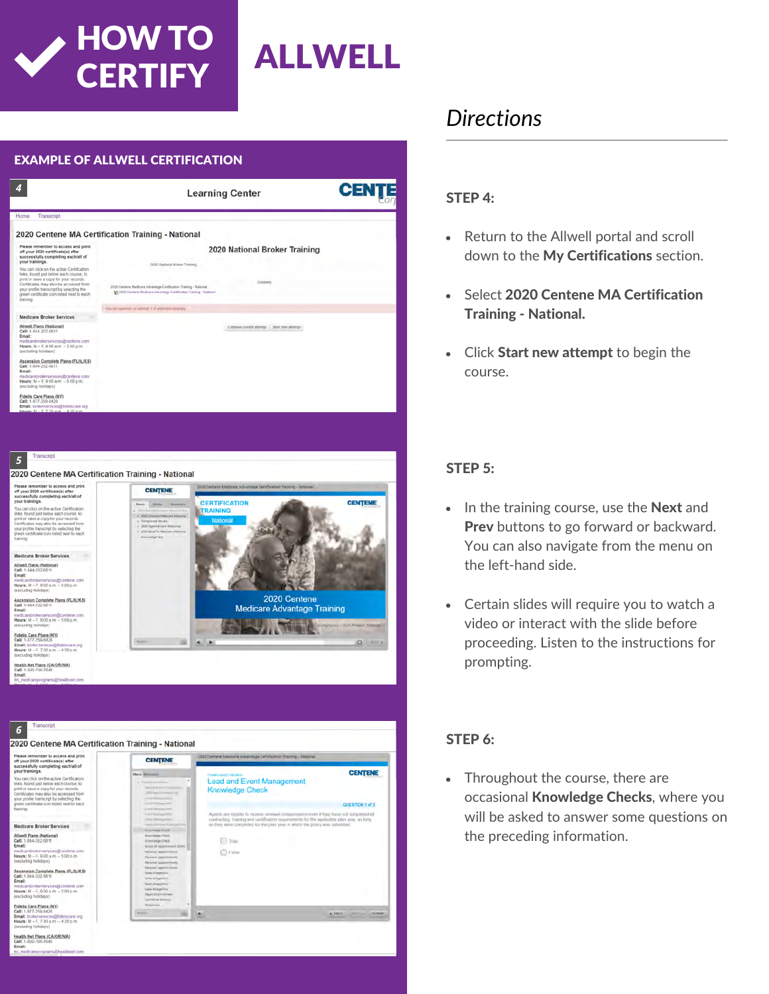



**CERTIFY** 



### *Directions*

#### STEP 4:

- Return to the Allwell portal and scroll down to the My Certifications section.
- Select 2020 Centene MA Certification  $\bullet$ Training - National.
- Click Start new attempt to begin the course.

#### STEP 5:

- $\bullet$  In the training course, use the **Next** and Prev buttons to go forward or backward. You can also navigate from the menu on the left-hand side.
- Certain slides will require you to watch a video or interact with the slide before proceeding. Listen to the instructions for prompting.

#### STEP 6:

Throughout the course, there are  $\bullet$ occasional Knowledge Checks, where you will be asked to answer some questions on the preceding information.